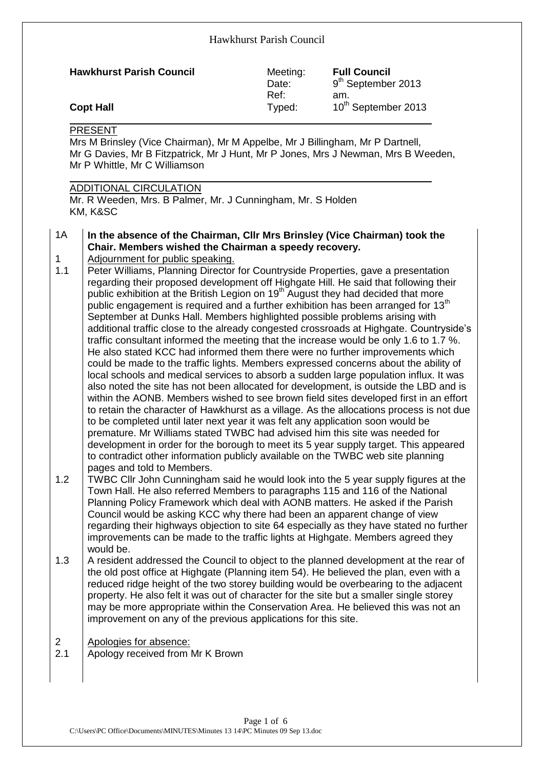|                |                                                                                                                                                                                                                                                                                                                                                                                                                                                       | Hawkhurst Parish Council  |                                                              |
|----------------|-------------------------------------------------------------------------------------------------------------------------------------------------------------------------------------------------------------------------------------------------------------------------------------------------------------------------------------------------------------------------------------------------------------------------------------------------------|---------------------------|--------------------------------------------------------------|
|                | <b>Hawkhurst Parish Council</b>                                                                                                                                                                                                                                                                                                                                                                                                                       | Meeting:<br>Date:<br>Ref: | <b>Full Council</b><br>9 <sup>th</sup> September 2013<br>am. |
|                | <b>Copt Hall</b>                                                                                                                                                                                                                                                                                                                                                                                                                                      | Typed:                    | 10 <sup>th</sup> September 2013                              |
|                | Mr G Davies, Mr B Fitzpatrick, Mr J Hunt, Mr P Jones, Mrs J Newman, Mrs B Weeden,<br>Mr P Whittle, Mr C Williamson<br><b>ADDITIONAL CIRCULATION</b><br>Mr. R Weeden, Mrs. B Palmer, Mr. J Cunningham, Mr. S Holden<br>KM, K&SC                                                                                                                                                                                                                        |                           |                                                              |
| 1A<br>1<br>1.1 | In the absence of the Chairman, CIIr Mrs Brinsley (Vice Chairman) took the<br>Chair. Members wished the Chairman a speedy recovery.<br>Adjournment for public speaking.<br>Peter Williams, Planning Director for Countryside Properties, gave a presentation<br>regarding their proposed development off Highgate Hill. He said that following their<br>public exhibition at the British Legion on 19 <sup>th</sup> August they had decided that more |                           |                                                              |
|                | public engagement is required and a further exhibition has been arranged for 13 <sup>th</sup><br>September at Dunks Hall. Members highlighted possible problems arising with<br>additional traffic close to the already congested crossroads at Highgate. Countryside's                                                                                                                                                                               |                           |                                                              |

to be completed until later next year it was felt any application soon would be premature. Mr Williams stated TWBC had advised him this site was needed for development in order for the borough to meet its 5 year supply target. This appeared to contradict other information publicly available on the TWBC web site planning pages and told to Members. 1.2 TWBC Cllr John Cunningham said he would look into the 5 year supply figures at the Town Hall. He also referred Members to paragraphs 115 and 116 of the National Planning Policy Framework which deal with AONB matters. He asked if the Parish Council would be asking KCC why there had been an apparent change of view regarding their highways objection to site 64 especially as they have stated no further improvements can be made to the traffic lights at Highgate. Members agreed they

traffic consultant informed the meeting that the increase would be only 1.6 to 1.7 %. He also stated KCC had informed them there were no further improvements which could be made to the traffic lights. Members expressed concerns about the ability of local schools and medical services to absorb a sudden large population influx. It was also noted the site has not been allocated for development, is outside the LBD and is within the AONB. Members wished to see brown field sites developed first in an effort to retain the character of Hawkhurst as a village. As the allocations process is not due

- would be. 1.3  $\parallel$  A resident addressed the Council to object to the planned development at the rear of the old post office at Highgate (Planning item 54). He believed the plan, even with a reduced ridge height of the two storey building would be overbearing to the adjacent property. He also felt it was out of character for the site but a smaller single storey may be more appropriate within the Conservation Area. He believed this was not an improvement on any of the previous applications for this site.
- 2 Apologies for absence: 2.1 Apology received from Mr K Brown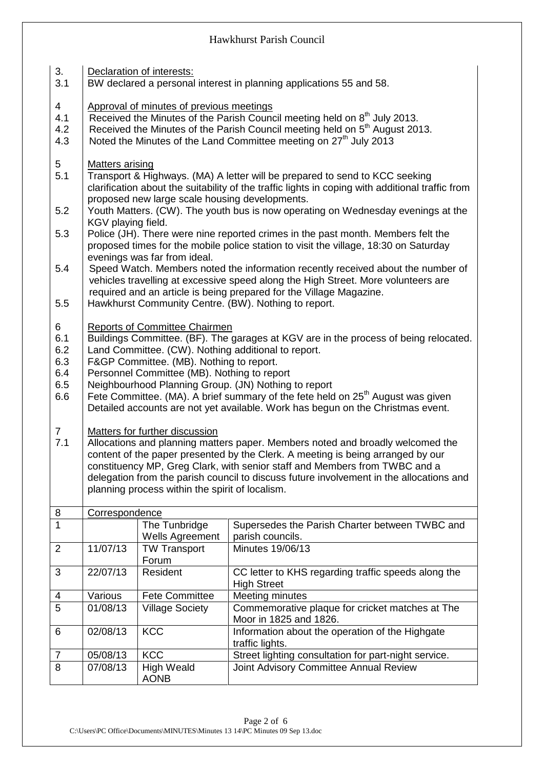| 3.<br>3.1      | Declaration of interests:<br>BW declared a personal interest in planning applications 55 and 58. |                                                 |                                                                                                                                                                       |  |  |  |  |
|----------------|--------------------------------------------------------------------------------------------------|-------------------------------------------------|-----------------------------------------------------------------------------------------------------------------------------------------------------------------------|--|--|--|--|
| $\overline{4}$ |                                                                                                  | Approval of minutes of previous meetings        |                                                                                                                                                                       |  |  |  |  |
| 4.1            |                                                                                                  |                                                 | Received the Minutes of the Parish Council meeting held on 8 <sup>th</sup> July 2013.                                                                                 |  |  |  |  |
| 4.2            |                                                                                                  |                                                 | Received the Minutes of the Parish Council meeting held on 5 <sup>th</sup> August 2013.                                                                               |  |  |  |  |
| 4.3            |                                                                                                  |                                                 | Noted the Minutes of the Land Committee meeting on 27 <sup>th</sup> July 2013                                                                                         |  |  |  |  |
|                |                                                                                                  |                                                 |                                                                                                                                                                       |  |  |  |  |
| 5<br>5.1       | <b>Matters arising</b>                                                                           |                                                 | Transport & Highways. (MA) A letter will be prepared to send to KCC seeking                                                                                           |  |  |  |  |
|                |                                                                                                  |                                                 | clarification about the suitability of the traffic lights in coping with additional traffic from                                                                      |  |  |  |  |
|                |                                                                                                  | proposed new large scale housing developments.  |                                                                                                                                                                       |  |  |  |  |
| 5.2            |                                                                                                  |                                                 | Youth Matters. (CW). The youth bus is now operating on Wednesday evenings at the                                                                                      |  |  |  |  |
|                | KGV playing field.                                                                               |                                                 |                                                                                                                                                                       |  |  |  |  |
| 5.3            |                                                                                                  |                                                 | Police (JH). There were nine reported crimes in the past month. Members felt the                                                                                      |  |  |  |  |
|                |                                                                                                  |                                                 | proposed times for the mobile police station to visit the village, 18:30 on Saturday                                                                                  |  |  |  |  |
|                |                                                                                                  | evenings was far from ideal.                    |                                                                                                                                                                       |  |  |  |  |
| 5.4            |                                                                                                  |                                                 | Speed Watch. Members noted the information recently received about the number of<br>vehicles travelling at excessive speed along the High Street. More volunteers are |  |  |  |  |
|                |                                                                                                  |                                                 | required and an article is being prepared for the Village Magazine.                                                                                                   |  |  |  |  |
| 5.5            |                                                                                                  |                                                 | Hawkhurst Community Centre. (BW). Nothing to report.                                                                                                                  |  |  |  |  |
|                |                                                                                                  |                                                 |                                                                                                                                                                       |  |  |  |  |
| 6              |                                                                                                  | <b>Reports of Committee Chairmen</b>            |                                                                                                                                                                       |  |  |  |  |
| 6.1            |                                                                                                  |                                                 | Buildings Committee. (BF). The garages at KGV are in the process of being relocated.                                                                                  |  |  |  |  |
| 6.2            |                                                                                                  |                                                 | Land Committee. (CW). Nothing additional to report.                                                                                                                   |  |  |  |  |
| 6.3<br>6.4     |                                                                                                  | F&GP Committee. (MB). Nothing to report.        |                                                                                                                                                                       |  |  |  |  |
| 6.5            |                                                                                                  | Personnel Committee (MB). Nothing to report     | Neighbourhood Planning Group. (JN) Nothing to report                                                                                                                  |  |  |  |  |
| 6.6            |                                                                                                  |                                                 | Fete Committee. (MA). A brief summary of the fete held on 25 <sup>th</sup> August was given                                                                           |  |  |  |  |
|                |                                                                                                  |                                                 | Detailed accounts are not yet available. Work has begun on the Christmas event.                                                                                       |  |  |  |  |
|                |                                                                                                  |                                                 |                                                                                                                                                                       |  |  |  |  |
| $\overline{7}$ |                                                                                                  | Matters for further discussion                  |                                                                                                                                                                       |  |  |  |  |
| 7.1            |                                                                                                  |                                                 | Allocations and planning matters paper. Members noted and broadly welcomed the                                                                                        |  |  |  |  |
|                |                                                                                                  |                                                 | content of the paper presented by the Clerk. A meeting is being arranged by our<br>constituency MP, Greg Clark, with senior staff and Members from TWBC and a         |  |  |  |  |
|                |                                                                                                  |                                                 | delegation from the parish council to discuss future involvement in the allocations and                                                                               |  |  |  |  |
|                |                                                                                                  | planning process within the spirit of localism. |                                                                                                                                                                       |  |  |  |  |
|                |                                                                                                  |                                                 |                                                                                                                                                                       |  |  |  |  |
| 8              | Correspondence                                                                                   |                                                 |                                                                                                                                                                       |  |  |  |  |
| $\mathbf 1$    |                                                                                                  | The Tunbridge                                   | Supersedes the Parish Charter between TWBC and                                                                                                                        |  |  |  |  |
|                |                                                                                                  | <b>Wells Agreement</b>                          | parish councils.<br>Minutes 19/06/13                                                                                                                                  |  |  |  |  |
| $\overline{2}$ | 11/07/13                                                                                         | <b>TW Transport</b><br>Forum                    |                                                                                                                                                                       |  |  |  |  |
| 3              | 22/07/13                                                                                         | Resident                                        | CC letter to KHS regarding traffic speeds along the                                                                                                                   |  |  |  |  |
|                |                                                                                                  |                                                 | <b>High Street</b>                                                                                                                                                    |  |  |  |  |
| 4              | Various                                                                                          | <b>Fete Committee</b>                           | Meeting minutes                                                                                                                                                       |  |  |  |  |
| 5              | 01/08/13                                                                                         | <b>Village Society</b>                          | Commemorative plaque for cricket matches at The                                                                                                                       |  |  |  |  |
| 6              | 02/08/13                                                                                         | <b>KCC</b>                                      | Moor in 1825 and 1826.<br>Information about the operation of the Highgate                                                                                             |  |  |  |  |
|                |                                                                                                  |                                                 | traffic lights.                                                                                                                                                       |  |  |  |  |
| $\overline{7}$ | 05/08/13                                                                                         | <b>KCC</b>                                      | Street lighting consultation for part-night service.                                                                                                                  |  |  |  |  |
| 8              | 07/08/13                                                                                         | <b>High Weald</b>                               | Joint Advisory Committee Annual Review                                                                                                                                |  |  |  |  |
|                |                                                                                                  | <b>AONB</b>                                     |                                                                                                                                                                       |  |  |  |  |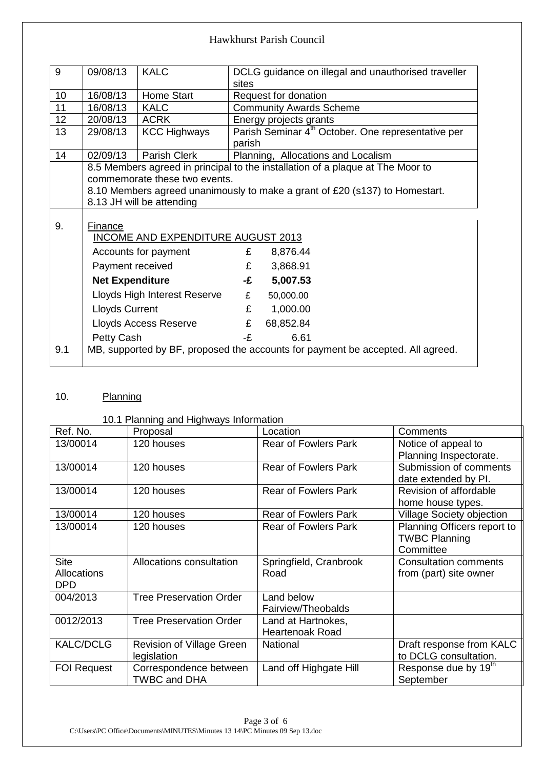| 9   | 09/08/13                     | <b>KALC</b>                        |        | DCLG guidance on illegal and unauthorised traveller                             |  |  |
|-----|------------------------------|------------------------------------|--------|---------------------------------------------------------------------------------|--|--|
|     |                              |                                    | sites  |                                                                                 |  |  |
| 10  | 16/08/13                     | Home Start                         |        | Request for donation                                                            |  |  |
| 11  | 16/08/13                     | <b>KALC</b>                        |        | <b>Community Awards Scheme</b>                                                  |  |  |
| 12  | 20/08/13                     | <b>ACRK</b>                        |        | Energy projects grants                                                          |  |  |
| 13  | 29/08/13                     | <b>KCC Highways</b>                |        | Parish Seminar 4 <sup>th</sup> October. One representative per                  |  |  |
|     |                              |                                    | parish |                                                                                 |  |  |
| 14  | 02/09/13                     | Parish Clerk                       |        | Planning, Allocations and Localism                                              |  |  |
|     |                              |                                    |        | 8.5 Members agreed in principal to the installation of a plaque at The Moor to  |  |  |
|     |                              | commemorate these two events.      |        |                                                                                 |  |  |
|     |                              |                                    |        | 8.10 Members agreed unanimously to make a grant of £20 (s137) to Homestart.     |  |  |
|     |                              | 8.13 JH will be attending          |        |                                                                                 |  |  |
|     |                              |                                    |        |                                                                                 |  |  |
| 9.  | Finance                      |                                    |        |                                                                                 |  |  |
|     |                              | INCOME AND EXPENDITURE AUGUST 2013 |        |                                                                                 |  |  |
|     |                              | Accounts for payment               | £      | 8,876.44                                                                        |  |  |
|     | Payment received             |                                    | £      | 3,868.91                                                                        |  |  |
|     | <b>Net Expenditure</b>       |                                    | -£     | 5,007.53                                                                        |  |  |
|     | Lloyds High Interest Reserve |                                    | £      | 50,000.00                                                                       |  |  |
|     | <b>Lloyds Current</b>        |                                    | £      | 1,000.00                                                                        |  |  |
|     |                              | Lloyds Access Reserve              | £      | 68,852.84                                                                       |  |  |
|     | Petty Cash                   |                                    | -£     | 6.61                                                                            |  |  |
| 9.1 |                              |                                    |        | MB, supported by BF, proposed the accounts for payment be accepted. All agreed. |  |  |
|     |                              |                                    |        |                                                                                 |  |  |

## 10. Planning

#### 10.1 Planning and Highways Information

| Ref. No.           | Proposal                       | Location                    | Comments                         |
|--------------------|--------------------------------|-----------------------------|----------------------------------|
| 13/00014           | 120 houses                     | <b>Rear of Fowlers Park</b> | Notice of appeal to              |
|                    |                                |                             | Planning Inspectorate.           |
| 13/00014           | 120 houses                     | <b>Rear of Fowlers Park</b> | Submission of comments           |
|                    |                                |                             | date extended by PI.             |
| 13/00014           | 120 houses                     | <b>Rear of Fowlers Park</b> | Revision of affordable           |
|                    |                                |                             | home house types.                |
| 13/00014           | 120 houses                     | <b>Rear of Fowlers Park</b> | <b>Village Society objection</b> |
| 13/00014           | 120 houses                     | <b>Rear of Fowlers Park</b> | Planning Officers report to      |
|                    |                                |                             | <b>TWBC Planning</b>             |
|                    |                                |                             | Committee                        |
| <b>Site</b>        | Allocations consultation       | Springfield, Cranbrook      | <b>Consultation comments</b>     |
| Allocations        |                                | Road                        | from (part) site owner           |
| DPD                |                                |                             |                                  |
| 004/2013           | <b>Tree Preservation Order</b> | Land below                  |                                  |
|                    |                                | Fairview/Theobalds          |                                  |
| 0012/2013          | <b>Tree Preservation Order</b> | Land at Hartnokes,          |                                  |
|                    |                                | <b>Heartenoak Road</b>      |                                  |
| <b>KALC/DCLG</b>   | Revision of Village Green      | National                    | Draft response from KALC         |
|                    | legislation                    |                             | to DCLG consultation.            |
| <b>FOI Request</b> | Correspondence between         | Land off Highgate Hill      | Response due by 19 <sup>th</sup> |
|                    | <b>TWBC and DHA</b>            |                             | September                        |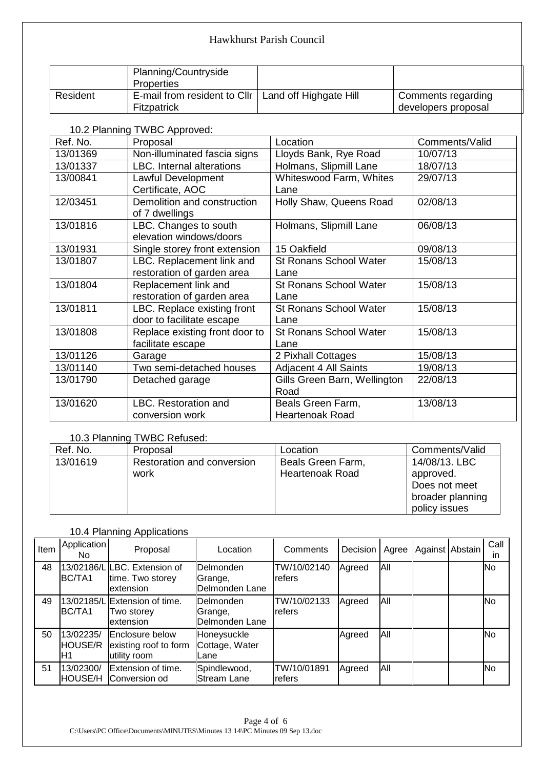|          | Planning/Countryside         |                        |                     |
|----------|------------------------------|------------------------|---------------------|
|          | Properties                   |                        |                     |
| Resident | E-mail from resident to Cllr | Land off Highgate Hill | Comments regarding  |
|          | <b>Fitzpatrick</b>           |                        | developers proposal |

10.2 Planning TWBC Approved:

| Ref. No. | Proposal                         | Location                      | Comments/Valid |
|----------|----------------------------------|-------------------------------|----------------|
| 13/01369 | Non-illuminated fascia signs     | Lloyds Bank, Rye Road         | 10/07/13       |
| 13/01337 | <b>LBC.</b> Internal alterations | Holmans, Slipmill Lane        | 18/07/13       |
| 13/00841 | Lawful Development               | Whiteswood Farm, Whites       | 29/07/13       |
|          | Certificate, AOC                 | Lane                          |                |
| 12/03451 | Demolition and construction      | Holly Shaw, Queens Road       | 02/08/13       |
|          | of 7 dwellings                   |                               |                |
| 13/01816 | LBC. Changes to south            | Holmans, Slipmill Lane        | 06/08/13       |
|          | elevation windows/doors          |                               |                |
| 13/01931 | Single storey front extension    | 15 Oakfield                   | 09/08/13       |
| 13/01807 | LBC. Replacement link and        | St Ronans School Water        | 15/08/13       |
|          | restoration of garden area       | Lane                          |                |
| 13/01804 | Replacement link and             | <b>St Ronans School Water</b> | 15/08/13       |
|          | restoration of garden area       | Lane                          |                |
| 13/01811 | LBC. Replace existing front      | St Ronans School Water        | 15/08/13       |
|          | door to facilitate escape        | Lane                          |                |
| 13/01808 | Replace existing front door to   | <b>St Ronans School Water</b> | 15/08/13       |
|          | facilitate escape                | Lane                          |                |
| 13/01126 | Garage                           | 2 Pixhall Cottages            | 15/08/13       |
| 13/01140 | Two semi-detached houses         | Adjacent 4 All Saints         | 19/08/13       |
| 13/01790 | Detached garage                  | Gills Green Barn, Wellington  | 22/08/13       |
|          |                                  | Road                          |                |
| 13/01620 | LBC. Restoration and             | Beals Green Farm,             | 13/08/13       |
|          | conversion work                  | <b>Heartenoak Road</b>        |                |

# 10.3 Planning TWBC Refused:

| Ref. No. | Proposal                   | Location               | Comments/Valid   |
|----------|----------------------------|------------------------|------------------|
| 13/01619 | Restoration and conversion | Beals Green Farm,      | 14/08/13, LBC    |
|          | work                       | <b>Heartenoak Road</b> | approved.        |
|          |                            |                        | Does not meet    |
|          |                            |                        | broader planning |
|          |                            |                        | policy issues    |

# 10.4 Planning Applications

| Item | Application<br>No.          | Proposal                                                        | Location                                 | Comments                      | Decision | Agree | Against Abstain | Call<br>ın |
|------|-----------------------------|-----------------------------------------------------------------|------------------------------------------|-------------------------------|----------|-------|-----------------|------------|
| 48   | BC/TA1                      | 13/02186/L LBC. Extension of<br>time. Two storey<br>extension   | Delmonden<br>lGrange,<br>lDelmonden Lane | TW/10/02140<br>refers         | Agreed   | All   |                 | <b>No</b>  |
| 49   | BC/TA1                      | 13/02185/L Extension of time.<br>Two storev<br>extension        | Delmonden<br>Grange,<br>Delmonden Lane   | TW/10/02133<br><b></b> refers | Agreed   | All   |                 | <b>No</b>  |
| 50   | 13/02235/<br>HOUSE/R<br>IH1 | <b>Enclosure below</b><br>existing roof to form<br>utility room | Honeysuckle<br>Cottage, Water<br>Lane    |                               | Agreed   | All   |                 | INo.       |
| 51   | 13/02300/<br>HOUSE/H        | Extension of time.<br>Conversion od                             | Spindlewood,<br>Stream Lane              | TW/10/01891<br><b></b> refers | Agreed   | All   |                 | <b>No</b>  |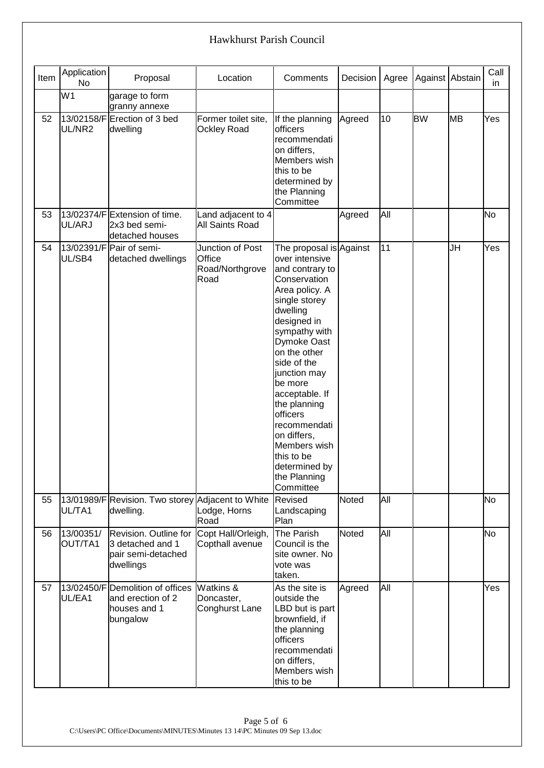| Item | Application<br><b>No</b> | Proposal                                                                          | Location                                              | Comments                                                                                                                                                                                                                                                                                                                                                                                      | Decision     | Agree | Against Abstain |           | Call<br>in. |
|------|--------------------------|-----------------------------------------------------------------------------------|-------------------------------------------------------|-----------------------------------------------------------------------------------------------------------------------------------------------------------------------------------------------------------------------------------------------------------------------------------------------------------------------------------------------------------------------------------------------|--------------|-------|-----------------|-----------|-------------|
|      | W <sub>1</sub>           | garage to form<br>granny annexe                                                   |                                                       |                                                                                                                                                                                                                                                                                                                                                                                               |              |       |                 |           |             |
| 52   | UL/NR2                   | 13/02158/FErection of 3 bed<br>dwelling                                           | Former toilet site,<br><b>Ockley Road</b>             | If the planning<br>officers<br>recommendati<br>on differs,<br>Members wish<br>this to be<br>determined by<br>the Planning<br>Committee                                                                                                                                                                                                                                                        | Agreed       | 10    | <b>BW</b>       | <b>MB</b> | Yes         |
| 53   | UL/ARJ                   | 13/02374/F Extension of time.<br>2x3 bed semi-<br>detached houses                 | Land adjacent to 4<br><b>All Saints Road</b>          |                                                                                                                                                                                                                                                                                                                                                                                               | Agreed       | All   |                 |           | <b>No</b>   |
| 54   | UL/SB4                   | 13/02391/F Pair of semi-<br>detached dwellings                                    | Junction of Post<br>Office<br>Road/Northgrove<br>Road | The proposal is Against<br>over intensive<br>and contrary to<br>Conservation<br>Area policy. A<br>single storey<br>dwelling<br>designed in<br>sympathy with<br>Dymoke Oast<br>on the other<br>side of the<br>junction may<br>be more<br>acceptable. If<br>the planning<br>officers<br>recommendati<br>on differs,<br>Members wish<br>this to be<br>determined by<br>the Planning<br>Committee |              | 11    |                 | <b>JH</b> | Yes         |
| 55   | UL/TA1                   | 13/01989/F Revision. Two storey Adjacent to White<br>dwelling.                    | Lodge, Horns<br>Road                                  | Revised<br>Landscaping<br>Plan                                                                                                                                                                                                                                                                                                                                                                | <b>Noted</b> | All   |                 |           | No          |
| 56   | 13/00351/<br>OUT/TA1     | Revision. Outline for<br>3 detached and 1<br>pair semi-detached<br>dwellings      | Copt Hall/Orleigh,<br>Copthall avenue                 | The Parish<br>Council is the<br>site owner. No<br>vote was<br>taken.                                                                                                                                                                                                                                                                                                                          | Noted        | All   |                 |           | No          |
| 57   | UL/EA1                   | 13/02450/F Demolition of offices<br>and erection of 2<br>houses and 1<br>bungalow | Watkins &<br>Doncaster,<br>Conghurst Lane             | As the site is<br>outside the<br>LBD but is part<br>brownfield, if<br>the planning<br><b>officers</b><br>recommendati<br>on differs,<br>Members wish<br>this to be                                                                                                                                                                                                                            | Agreed       | All   |                 |           | Yes         |